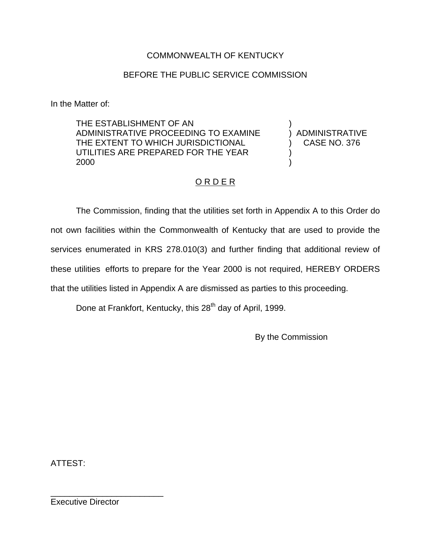## COMMONWEALTH OF KENTUCKY

## BEFORE THE PUBLIC SERVICE COMMISSION

In the Matter of:

THE ESTABLISHMENT OF AN ADMINISTRATIVE PROCEEDING TO EXAMINE THE EXTENT TO WHICH JURISDICTIONAL UTILITIES ARE PREPARED FOR THE YEAR 2000

) ADMINISTRATIVE ) CASE NO. 376

)

) )

# ORDER

The Commission, finding that the utilities set forth in Appendix A to this Order do not own facilities within the Commonwealth of Kentucky that are used to provide the services enumerated in KRS 278.010(3) and further finding that additional review of these utilities efforts to prepare for the Year 2000 is not required, HEREBY ORDERS that the utilities listed in Appendix A are dismissed as parties to this proceeding.

Done at Frankfort, Kentucky, this 28<sup>th</sup> day of April, 1999.

By the Commission

ATTEST:

Executive Director

\_\_\_\_\_\_\_\_\_\_\_\_\_\_\_\_\_\_\_\_\_\_\_\_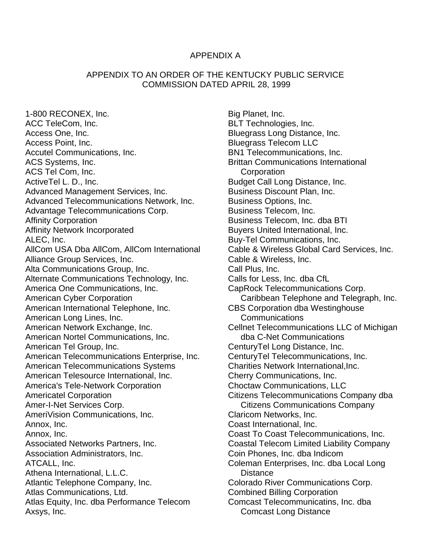#### APPENDIX A

### APPENDIX TO AN ORDER OF THE KENTUCKY PUBLIC SERVICE COMMISSION DATED APRIL 28, 1999

1-800 RECONEX, Inc. ACC TeleCom, Inc. Access One, Inc. Access Point, Inc. Accutel Communications, Inc. ACS Systems, Inc. ACS Tel Com, Inc. ActiveTel L. D., Inc. Advanced Management Services, Inc. Advanced Telecommunications Network, Inc. Advantage Telecommunications Corp. Affinity Corporation Affinity Network Incorporated ALEC, Inc. AllCom USA Dba AllCom, AllCom International Alliance Group Services, Inc. Alta Communications Group, Inc. Alternate Communications Technology, Inc. America One Communications, Inc. American Cyber Corporation American International Telephone, Inc. American Long Lines, Inc. American Network Exchange, Inc. American Nortel Communications, Inc. American Tel Group, Inc. American Telecommunications Enterprise, Inc. American Telecommunications Systems American Telesource International, Inc. America's Tele-Network Corporation Americatel Corporation Amer-I-Net Services Corp. AmeriVision Communications, Inc. Annox, Inc. Annox, Inc. Associated Networks Partners, Inc. Association Administrators, Inc. ATCALL, Inc. Athena International, L.L.C. Atlantic Telephone Company, Inc. Atlas Communications, Ltd. Atlas Equity, Inc. dba Performance Telecom Axsys, Inc.

Big Planet, Inc. BLT Technologies, Inc. Bluegrass Long Distance, Inc. Bluegrass Telecom LLC BN1 Telecommunications, Inc. Brittan Communications International **Corporation** Budget Call Long Distance, Inc. Business Discount Plan, Inc. Business Options, Inc. Business Telecom, Inc. Business Telecom, Inc. dba BTI Buyers United International, Inc. Buy-Tel Communications, Inc. Cable & Wireless Global Card Services, Inc. Cable & Wireless, Inc. Call Plus, Inc. Calls for Less, Inc. dba CfL CapRock Telecommunications Corp. Caribbean Telephone and Telegraph, Inc. CBS Corporation dba Westinghouse **Communications** Cellnet Telecommunications LLC of Michigan dba C-Net Communications CenturyTel Long Distance, Inc. CenturyTel Telecommunications, Inc. Charities Network International,Inc. Cherry Communications, Inc. Choctaw Communications, LLC Citizens Telecommunications Company dba Citizens Communications Company Claricom Networks, Inc. Coast International, Inc. Coast To Coast Telecommunications, Inc. Coastal Telecom Limited Liability Company Coin Phones, Inc. dba Indicom Coleman Enterprises, Inc. dba Local Long **Distance** Colorado River Communications Corp. Combined Billing Corporation Comcast Telecommunicatins, Inc. dba Comcast Long Distance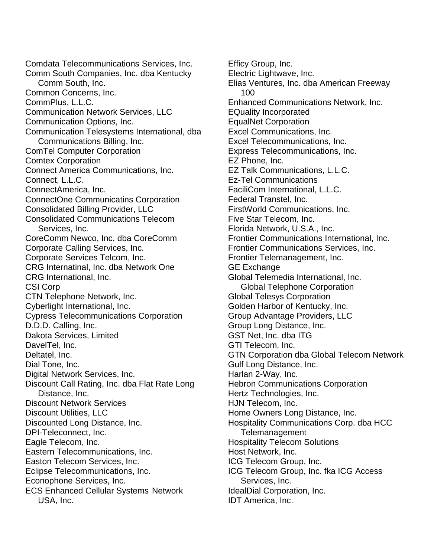Comdata Telecommunications Services, Inc. Comm South Companies, Inc. dba Kentucky Comm South, Inc. Common Concerns, Inc. CommPlus, L.L.C. Communication Network Services, LLC Communication Options, Inc. Communication Telesystems International, dba Communications Billing, Inc. ComTel Computer Corporation Comtex Corporation Connect America Communications, Inc. Connect, L.L.C. ConnectAmerica, Inc. ConnectOne Communicatins Corporation Consolidated Billing Provider, LLC Consolidated Communications Telecom Services, Inc. CoreComm Newco, Inc. dba CoreComm Corporate Calling Services, Inc. Corporate Services Telcom, Inc. CRG Internatinal, Inc. dba Network One CRG International, Inc. CSI Corp CTN Telephone Network, Inc. Cyberlight International, Inc. Cypress Telecommunications Corporation D.D.D. Calling, Inc. Dakota Services, Limited DavelTel, Inc. Deltatel, Inc. Dial Tone, Inc. Digital Network Services, Inc. Discount Call Rating, Inc. dba Flat Rate Long Distance, Inc. Discount Network Services Discount Utilities, LLC Discounted Long Distance, Inc. DPI-Teleconnect, Inc. Eagle Telecom, Inc. Eastern Telecommunications, Inc. Easton Telecom Services, Inc. Eclipse Telecommunications, Inc. Econophone Services, Inc. ECS Enhanced Cellular Systems Network USA, Inc.

Efficy Group, Inc. Electric Lightwave, Inc. Elias Ventures, Inc. dba American Freeway 100 Enhanced Communications Network, Inc. EQuality Incorporated EqualNet Corporation Excel Communications, Inc. Excel Telecommunications, Inc. Express Telecommunications, Inc. EZ Phone, Inc. EZ Talk Communications, L.L.C. Ez-Tel Communications FaciliCom International, L.L.C. Federal Transtel, Inc. FirstWorld Communications, Inc. Five Star Telecom, Inc. Florida Network, U.S.A., Inc. Frontier Communications International, Inc. Frontier Communications Services, Inc. Frontier Telemanagement, Inc. GE Exchange Global Telemedia International, Inc. Global Telephone Corporation Global Telesys Corporation Golden Harbor of Kentucky, Inc. Group Advantage Providers, LLC Group Long Distance, Inc. GST Net, Inc. dba ITG GTI Telecom, Inc. GTN Corporation dba Global Telecom Network Gulf Long Distance, Inc. Harlan 2-Way, Inc. Hebron Communications Corporation Hertz Technologies, Inc. HJN Telecom, Inc. Home Owners Long Distance, Inc. Hospitality Communications Corp. dba HCC Telemanagement Hospitality Telecom Solutions Host Network, Inc. ICG Telecom Group, Inc. ICG Telecom Group, Inc. fka ICG Access Services, Inc. IdealDial Corporation, Inc. IDT America, Inc.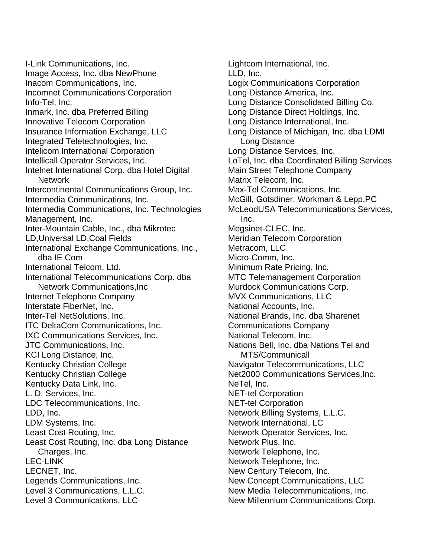I-Link Communications, Inc. Image Access, Inc. dba NewPhone Inacom Communications, Inc. Incomnet Communications Corporation Info-Tel, Inc. Inmark, Inc. dba Preferred Billing Innovative Telecom Corporation Insurance Information Exchange, LLC Integrated Teletechnologies, Inc. Intelicom International Corporation Intellicall Operator Services, Inc. Intelnet International Corp. dba Hotel Digital Network Intercontinental Communications Group, Inc. Intermedia Communications, Inc. Intermedia Communications, Inc. Technologies Management, Inc. Inter-Mountain Cable, Inc., dba Mikrotec LD,Universal LD,Coal Fields International Exchange Communications, Inc., dba IE Com International Telcom, Ltd. International Telecommunications Corp. dba Network Communications,Inc Internet Telephone Company Interstate FiberNet, Inc. Inter-Tel NetSolutions, Inc. ITC DeltaCom Communications, Inc. IXC Communications Services, Inc. JTC Communications, Inc. KCI Long Distance, Inc. Kentucky Christian College Kentucky Christian College Kentucky Data Link, Inc. L. D. Services, Inc. LDC Telecommunications, Inc. LDD, Inc. LDM Systems, Inc. Least Cost Routing, Inc. Least Cost Routing, Inc. dba Long Distance Charges, Inc. LEC-LINK LECNET, Inc. Legends Communications, Inc. Level 3 Communications, L.L.C. Level 3 Communications, LLC

Lightcom International, Inc. LLD, Inc. Logix Communications Corporation Long Distance America, Inc. Long Distance Consolidated Billing Co. Long Distance Direct Holdings, Inc. Long Distance International, Inc. Long Distance of Michigan, Inc. dba LDMI Long Distance Long Distance Services, Inc. LoTel, Inc. dba Coordinated Billing Services Main Street Telephone Company Matrix Telecom, Inc. Max-Tel Communications, Inc. McGill, Gotsdiner, Workman & Lepp,PC McLeodUSA Telecommunications Services, Inc. Megsinet-CLEC, Inc. Meridian Telecom Corporation Metracom, LLC Micro-Comm, Inc. Minimum Rate Pricing, Inc. MTC Telemanagement Corporation Murdock Communications Corp. MVX Communications, LLC National Accounts, Inc. National Brands, Inc. dba Sharenet Communications Company National Telecom, Inc. Nations Bell, Inc. dba Nations Tel and MTS/Communicall Navigator Telecommunications, LLC Net2000 Communications Services,Inc. NeTel, Inc. NET-tel Corporation NET-tel Corporation Network Billing Systems, L.L.C. Network International, LC Network Operator Services, Inc. Network Plus, Inc. Network Telephone, Inc. Network Telephone, Inc. New Century Telecom, Inc. New Concept Communications, LLC New Media Telecommunications, Inc. New Millennium Communications Corp.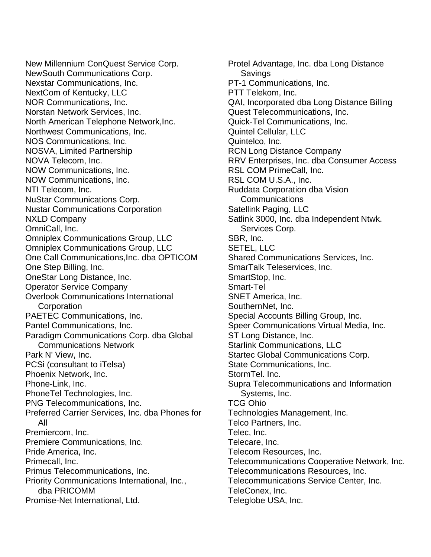New Millennium ConQuest Service Corp. NewSouth Communications Corp. Nexstar Communications, Inc. NextCom of Kentucky, LLC NOR Communications, Inc. Norstan Network Services, Inc. North American Telephone Network,Inc. Northwest Communications, Inc. NOS Communications, Inc. NOSVA, Limited Partnership NOVA Telecom, Inc. NOW Communications, Inc. NOW Communications, Inc. NTI Telecom, Inc. NuStar Communications Corp. Nustar Communications Corporation NXLD Company OmniCall, Inc. Omniplex Communications Group, LLC Omniplex Communications Group, LLC One Call Communications,Inc. dba OPTICOM One Step Billing, Inc. OneStar Long Distance, Inc. Operator Service Company Overlook Communications International **Corporation** PAETEC Communications, Inc. Pantel Communications, Inc. Paradigm Communications Corp. dba Global Communications Network Park N' View, Inc. PCSi (consultant to iTelsa) Phoenix Network, Inc. Phone-Link, Inc. PhoneTel Technologies, Inc. PNG Telecommunications, Inc. Preferred Carrier Services, Inc. dba Phones for All Premiercom, Inc. Premiere Communications, Inc. Pride America, Inc. Primecall, Inc. Primus Telecommunications, Inc. Priority Communications International, Inc., dba PRICOMM Promise-Net International, Ltd.

Protel Advantage, Inc. dba Long Distance **Savings** PT-1 Communications, Inc. PTT Telekom, Inc. QAI, Incorporated dba Long Distance Billing Quest Telecommunications, Inc. Quick-Tel Communications, Inc. Quintel Cellular, LLC Quintelco, Inc. RCN Long Distance Company RRV Enterprises, Inc. dba Consumer Access RSL COM PrimeCall, Inc. RSL COM U.S.A., Inc. Ruddata Corporation dba Vision Communications Satellink Paging, LLC Satlink 3000, Inc. dba Independent Ntwk. Services Corp. SBR, Inc. SETEL, LLC Shared Communications Services, Inc. SmarTalk Teleservices, Inc. SmartStop, Inc. Smart-Tel SNET America, Inc. SouthernNet, Inc. Special Accounts Billing Group, Inc. Speer Communications Virtual Media, Inc. ST Long Distance, Inc. Starlink Communications, LLC Startec Global Communications Corp. State Communications, Inc. StormTel. Inc. Supra Telecommunications and Information Systems, Inc. TCG Ohio Technologies Management, Inc. Telco Partners, Inc. Telec, Inc. Telecare, Inc. Telecom Resources, Inc. Telecommunications Cooperative Network, Inc. Telecommunications Resources, Inc. Telecommunications Service Center, Inc. TeleConex, Inc. Teleglobe USA, Inc.